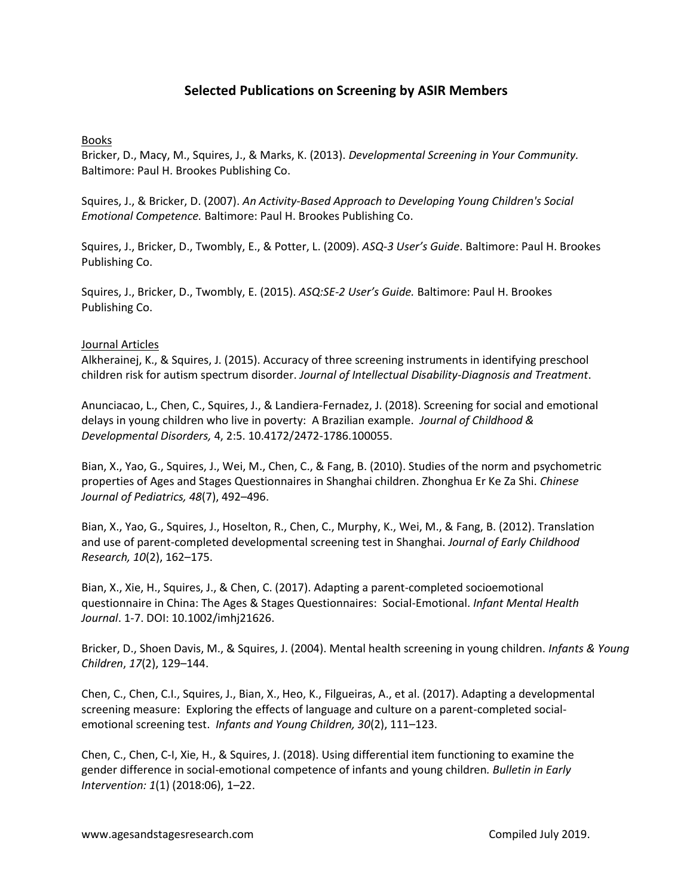## **Selected Publications on Screening by ASIR Members**

## Books

Bricker, D., Macy, M., Squires, J., & Marks, K. (2013). *Developmental Screening in Your Community.* Baltimore: Paul H. Brookes Publishing Co.

Squires, J., & Bricker, D. (2007). *An Activity-Based Approach to Developing Young Children's Social Emotional Competence.* Baltimore: Paul H. Brookes Publishing Co.

Squires, J., Bricker, D., Twombly, E., & Potter, L. (2009). *ASQ-3 User's Guide*. Baltimore: Paul H. Brookes Publishing Co.

Squires, J., Bricker, D., Twombly, E. (2015). *ASQ:SE-2 User's Guide.* Baltimore: Paul H. Brookes Publishing Co.

## Journal Articles

Alkherainej, K., & Squires, J. (2015). Accuracy of three screening instruments in identifying preschool children risk for autism spectrum disorder. *Journal of Intellectual Disability-Diagnosis and Treatment*.

Anunciacao, L., Chen, C., Squires, J., & Landiera-Fernadez, J. (2018). Screening for social and emotional delays in young children who live in poverty: A Brazilian example. *Journal of Childhood & Developmental Disorders,* 4, 2:5. 10.4172/2472-1786.100055.

Bian, X., Yao, G., Squires, J., Wei, M., Chen, C., & Fang, B. (2010). Studies of the norm and psychometric properties of Ages and Stages Questionnaires in Shanghai children. Zhonghua Er Ke Za Shi. *Chinese Journal of Pediatrics, 48*(7), 492–496.

Bian, X., Yao, G., Squires, J., Hoselton, R., Chen, C., Murphy, K., Wei, M., & Fang, B. (2012). Translation and use of parent-completed developmental screening test in Shanghai. *Journal of Early Childhood Research, 10*(2), 162–175.

Bian, X., Xie, H., Squires, J., & Chen, C. (2017). Adapting a parent-completed socioemotional questionnaire in China: The Ages & Stages Questionnaires: Social-Emotional. *Infant Mental Health Journal*. 1-7. DOI: 10.1002/imhj21626.

Bricker, D., Shoen Davis, M., & Squires, J. (2004). Mental health screening in young children. *Infants & Young Children*, *17*(2), 129–144.

Chen, C., Chen, C.I., Squires, J., Bian, X., Heo, K., Filgueiras, A., et al. (2017). Adapting a developmental screening measure: Exploring the effects of language and culture on a parent-completed socialemotional screening test. *Infants and Young Children, 30*(2), 111–123.

Chen, C., Chen, C-I, Xie, H., & Squires, J. (2018). Using differential item functioning to examine the gender difference in social-emotional competence of infants and young children*. Bulletin in Early Intervention: 1*(1) (2018:06), 1–22.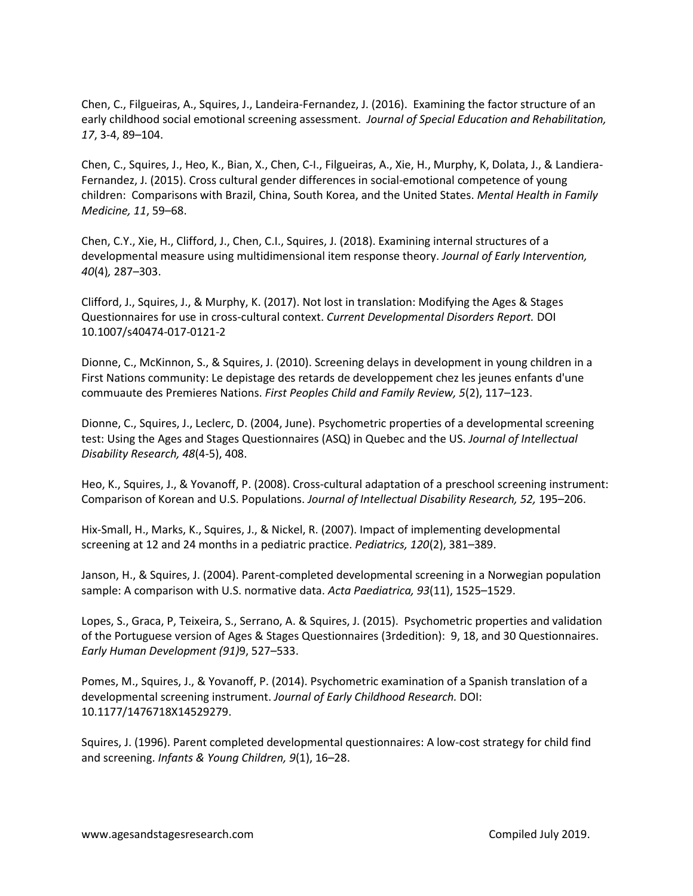Chen, C., Filgueiras, A., Squires, J., Landeira-Fernandez, J. (2016). Examining the factor structure of an early childhood social emotional screening assessment. *Journal of Special Education and Rehabilitation, 17*, 3-4, 89–104.

Chen, C., Squires, J., Heo, K., Bian, X., Chen, C-I., Filgueiras, A., Xie, H., Murphy, K, Dolata, J., & Landiera-Fernandez, J. (2015). Cross cultural gender differences in social-emotional competence of young children: Comparisons with Brazil, China, South Korea, and the United States. *Mental Health in Family Medicine, 11*, 59–68.

Chen, C.Y., Xie, H., Clifford, J., Chen, C.I., Squires, J. (2018). Examining internal structures of a developmental measure using multidimensional item response theory. *Journal of Early Intervention, 40*(4)*,* 287–303.

Clifford, J., Squires, J., & Murphy, K. (2017). Not lost in translation: Modifying the Ages & Stages Questionnaires for use in cross-cultural context. *Current Developmental Disorders Report.* DOI 10.1007/s40474-017-0121-2

Dionne, C., McKinnon, S., & Squires, J. (2010). Screening delays in development in young children in a First Nations community: Le depistage des retards de developpement chez les jeunes enfants d'une commuaute des Premieres Nations. *First Peoples Child and Family Review, 5*(2), 117–123.

Dionne, C., Squires, J., Leclerc, D. (2004, June). Psychometric properties of a developmental screening test: Using the Ages and Stages Questionnaires (ASQ) in Quebec and the US. *Journal of Intellectual Disability Research, 48*(4-5), 408.

Heo, K., Squires, J., & Yovanoff, P. (2008). Cross-cultural adaptation of a preschool screening instrument: Comparison of Korean and U.S. Populations. *Journal of Intellectual Disability Research, 52,* 195–206.

Hix-Small, H., Marks, K., Squires, J., & Nickel, R. (2007). Impact of implementing developmental screening at 12 and 24 months in a pediatric practice. *Pediatrics, 120*(2), 381–389.

Janson, H., & Squires, J. (2004). Parent-completed developmental screening in a Norwegian population sample: A comparison with U.S. normative data. *Acta Paediatrica, 93*(11), 1525–1529.

Lopes, S., Graca, P, Teixeira, S., Serrano, A. & Squires, J. (2015). Psychometric properties and validation of the Portuguese version of Ages & Stages Questionnaires (3rdedition): 9, 18, and 30 Questionnaires. *Early Human Development (91)*9, 527–533.

Pomes, M., Squires, J., & Yovanoff, P. (2014). Psychometric examination of a Spanish translation of a developmental screening instrument. *Journal of Early Childhood Research.* DOI: 10.1177/1476718X14529279.

Squires, J. (1996). Parent completed developmental questionnaires: A low-cost strategy for child find and screening. *Infants & Young Children, 9*(1), 16–28.